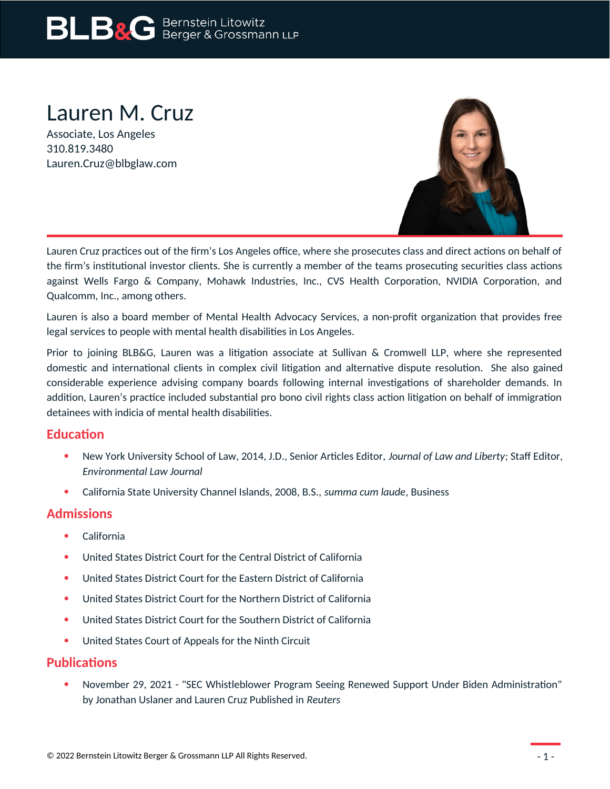# **BLB&G** Bernstein Litowitz

# Lauren M. Cruz

Associate, Los Angeles 310.819.3480 Lauren.Cruz@blbglaw.com



Lauren Cruz practices out of the firm's Los Angeles office, where she prosecutes class and direct actions on behalf of the firm's institutional investor clients. She is currently a member of the teams prosecuting securities class actions against Wells Fargo & Company, Mohawk Industries, Inc., CVS Health Corporation, NVIDIA Corporation, and Qualcomm, Inc., among others.

Lauren is also a board member of Mental Health Advocacy Services, a non-profit organization that provides free legal services to people with mental health disabilities in Los Angeles.

Prior to joining BLB&G, Lauren was a litigation associate at Sullivan & Cromwell LLP, where she represented domestic and international clients in complex civil litigation and alternative dispute resolution. She also gained considerable experience advising company boards following internal investigations of shareholder demands. In addition, Lauren's practice included substantial pro bono civil rights class action litigation on behalf of immigration detainees with indicia of mental health disabilities.

## **Education**

- New York University School of Law, 2014, J.D., Senior Articles Editor, *Journal of Law and Liberty*; Staff Editor, *Environmental Law Journal*
- California State University Channel Islands, 2008, B.S., *summa cum laude*, Business

# **Admissions**

- California
- United States District Court for the Central District of California
- United States District Court for the Eastern District of California
- United States District Court for the Northern District of California
- United States District Court for the Southern District of California
- United States Court of Appeals for the Ninth Circuit

## **Publications**

 November 29, 2021 - "SEC Whistleblower Program Seeing Renewed Support Under Biden Administration" by Jonathan Uslaner and Lauren Cruz Published in *Reuters*